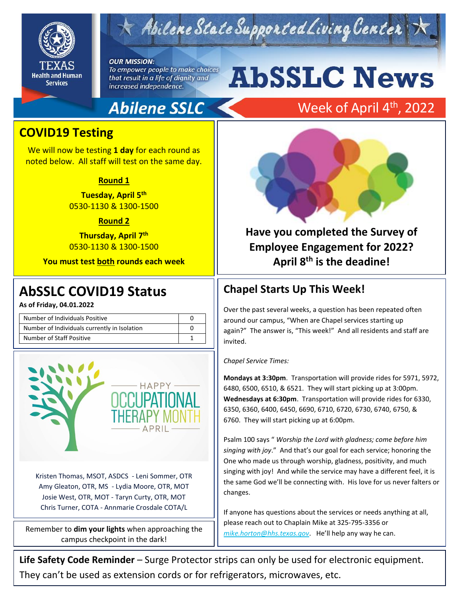

## $\times$  Abilene State Supported Living Center

### **OUR MISSION:**

To empower people to make choices that result in a life of dignity and increased independence.

## **Abilene SSLC**

# **AbSSLC News**

## Week of April 4<sup>th</sup>, 2022

## **COVID19 Testing**

We will now be testing **1 day** for each round as noted below. All staff will test on the same day.

#### **Round 1**

**Tuesday, April 5 th** 0530-1130 & 1300-1500

#### **Round 2**

**Thursday, April 7 th** 0530-1130 & 1300-1500

**You must test both rounds each week**

## 2019 **AbSSLC COVID19 Status**

**As of Friday, 04.01.2022**

| Number of Individuals Positive               |  |
|----------------------------------------------|--|
| Number of Individuals currently in Isolation |  |
| Number of Staff Positive                     |  |



Kristen Thomas, MSOT, ASDCS - Leni Sommer, OTR Amy Gleaton, OTR, MS - Lydia Moore, OTR, MOT Josie West, OTR, MOT - Taryn Curty, OTR, MOT Chris Turner, COTA - Annmarie Crosdale COTA/L

Remember to **dim your lights** when approaching the campus checkpoint in the dark!



**Have you completed the Survey of Employee Engagement for 2022? April 8th is the deadine!**

## **Chapel Starts Up This Week!**

Over the past several weeks, a question has been repeated often around our campus, "When are Chapel services starting up again?" The answer is, "This week!" And all residents and staff are invited.

#### *Chapel Service Times:*

**Mondays at 3:30pm**. Transportation will provide rides for 5971, 5972, 6480, 6500, 6510, & 6521. They will start picking up at 3:00pm. **Wednesdays at 6:30pm**. Transportation will provide rides for 6330, 6350, 6360, 6400, 6450, 6690, 6710, 6720, 6730, 6740, 6750, & 6760. They will start picking up at 6:00pm.

Psalm 100 says " *Worship the Lord with gladness; come before him singing with joy*." And that's our goal for each service; honoring the One who made us through worship, gladness, positivity, and much singing with joy! And while the service may have a different feel, it is the same God we'll be connecting with. His love for us never falters or changes.

If anyone has questions about the services or needs anything at all, please reach out to Chaplain Mike at 325-795-3356 or *[mike.horton@hhs.texas.gov](mailto:mike.horton@hhs.texas.gov)*. He'll help any way he can.

**Life Safety Code Reminder** – Surge Protector strips can only be used for electronic equipment. They can't be used as extension cords or for refrigerators, microwaves, etc.